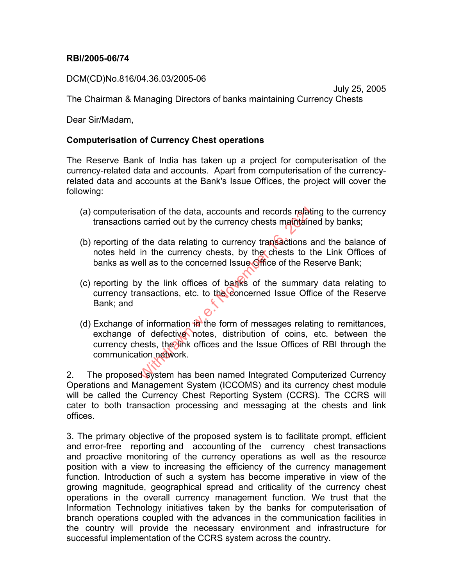## RBI/2005-06/74

DCM(CD)No.816/04.36.03/2005-06

July 25, 2005 The Chairman & Managing Directors of banks maintaining Currency Chests

Dear Sir/Madam,

## Computerisation of Currency Chest operations

The Reserve Bank of India has taken up a project for computerisation of the currency-related data and accounts. Apart from computerisation of the currencyrelated data and accounts at the Bank's Issue Offices, the project will cover the following:

- (a) computerisation of the data, accounts and records relating to the currency transactions carried out by the currency chests maintained by banks;
- (b) reporting of the data relating to currency transactions and the balance of notes held in the currency chests, by the chests to the Link Offices of banks as well as to the concerned Issue Office of the Reserve Bank;
- (c) reporting by the link offices of banks of the summary data relating to currency transactions, etc. to the concerned Issue Office of the Reserve Bank; and
- (d) Exchange of information  $\mathbf{in}$  the form of messages relating to remittances, exchange of defective notes, distribution of coins, etc. between the currency chests, the link offices and the Issue Offices of RBI through the communication network. ation of the data, accounts and records relates a carried out by the currency chests maintain<br>
if the data relating to currency transactions a<br>
in the currency chests, by the chests to t<br>
ell as to the concerned Issue Offi

2. The proposed system has been named Integrated Computerized Currency Operations and Management System (ICCOMS) and its currency chest module will be called the Currency Chest Reporting System (CCRS). The CCRS will cater to both transaction processing and messaging at the chests and link offices.

3. The primary objective of the proposed system is to facilitate prompt, efficient and error-free reporting and accounting of the currency chest transactions and proactive monitoring of the currency operations as well as the resource position with a view to increasing the efficiency of the currency management function. Introduction of such a system has become imperative in view of the growing magnitude, geographical spread and criticality of the currency chest operations in the overall currency management function. We trust that the Information Technology initiatives taken by the banks for computerisation of branch operations coupled with the advances in the communication facilities in the country will provide the necessary environment and infrastructure for successful implementation of the CCRS system across the country.